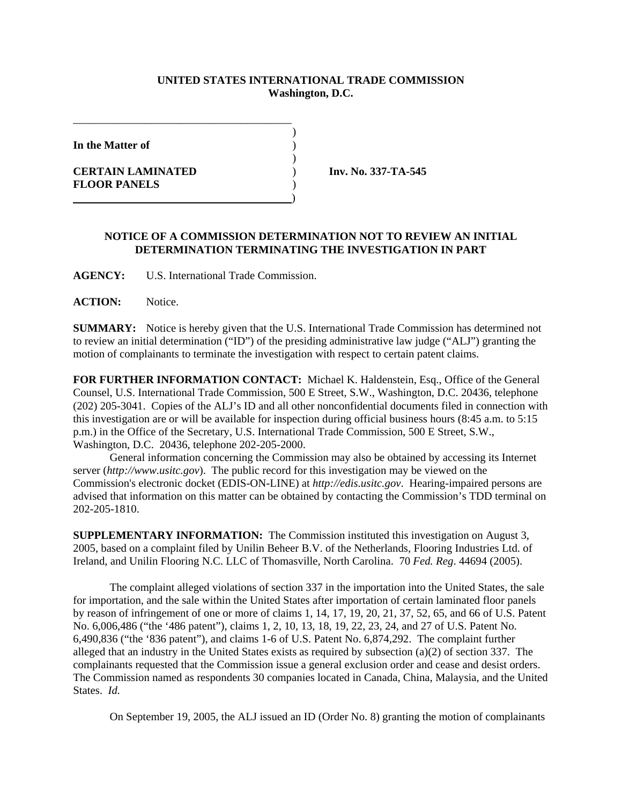## **UNITED STATES INTERNATIONAL TRADE COMMISSION Washington, D.C.**

)

)

**In the Matter of** )

**CERTAIN LAMINATED** ) **Inv. No. 337-TA-545 FLOOR PANELS** )

## **NOTICE OF A COMMISSION DETERMINATION NOT TO REVIEW AN INITIAL DETERMINATION TERMINATING THE INVESTIGATION IN PART**

**AGENCY:** U.S. International Trade Commission.

\_\_\_\_\_\_\_\_\_\_\_\_\_\_\_\_\_\_\_\_\_\_\_\_\_\_\_\_\_\_\_\_\_\_\_\_\_\_\_

)

**ACTION:** Notice.

**SUMMARY:** Notice is hereby given that the U.S. International Trade Commission has determined not to review an initial determination ("ID") of the presiding administrative law judge ("ALJ") granting the motion of complainants to terminate the investigation with respect to certain patent claims.

**FOR FURTHER INFORMATION CONTACT:** Michael K. Haldenstein, Esq., Office of the General Counsel, U.S. International Trade Commission, 500 E Street, S.W., Washington, D.C. 20436, telephone (202) 205-3041. Copies of the ALJ's ID and all other nonconfidential documents filed in connection with this investigation are or will be available for inspection during official business hours (8:45 a.m. to 5:15 p.m.) in the Office of the Secretary, U.S. International Trade Commission, 500 E Street, S.W., Washington, D.C. 20436, telephone 202-205-2000.

General information concerning the Commission may also be obtained by accessing its Internet server (*http://www.usitc.gov*). The public record for this investigation may be viewed on the Commission's electronic docket (EDIS-ON-LINE) at *http://edis.usitc.gov*. Hearing-impaired persons are advised that information on this matter can be obtained by contacting the Commission's TDD terminal on 202-205-1810.

**SUPPLEMENTARY INFORMATION:** The Commission instituted this investigation on August 3, 2005, based on a complaint filed by Unilin Beheer B.V. of the Netherlands, Flooring Industries Ltd. of Ireland, and Unilin Flooring N.C. LLC of Thomasville, North Carolina. 70 *Fed. Reg*. 44694 (2005).

The complaint alleged violations of section 337 in the importation into the United States, the sale for importation, and the sale within the United States after importation of certain laminated floor panels by reason of infringement of one or more of claims 1, 14, 17, 19, 20, 21, 37, 52, 65, and 66 of U.S. Patent No. 6,006,486 ("the '486 patent"), claims 1, 2, 10, 13, 18, 19, 22, 23, 24, and 27 of U.S. Patent No. 6,490,836 ("the '836 patent"), and claims 1-6 of U.S. Patent No. 6,874,292. The complaint further alleged that an industry in the United States exists as required by subsection (a)(2) of section 337. The complainants requested that the Commission issue a general exclusion order and cease and desist orders. The Commission named as respondents 30 companies located in Canada, China, Malaysia, and the United States. *Id.*

On September 19, 2005, the ALJ issued an ID (Order No. 8) granting the motion of complainants